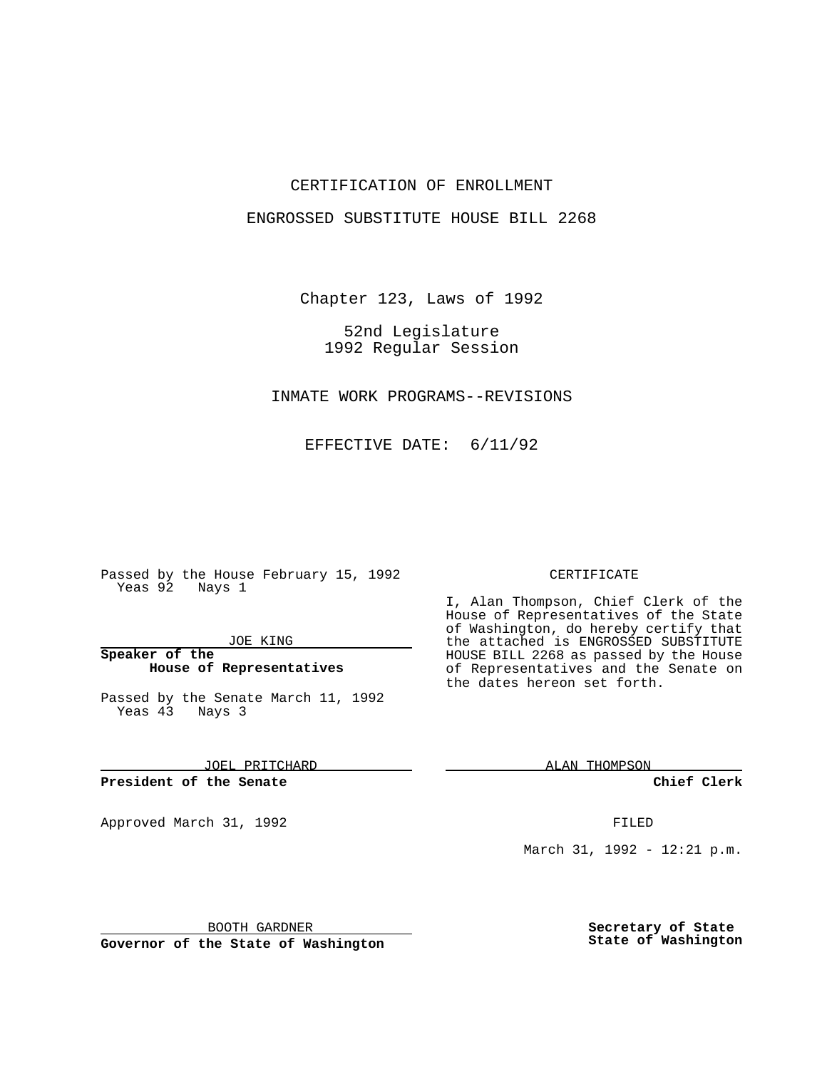# CERTIFICATION OF ENROLLMENT

## ENGROSSED SUBSTITUTE HOUSE BILL 2268

Chapter 123, Laws of 1992

52nd Legislature 1992 Regular Session

INMATE WORK PROGRAMS--REVISIONS

EFFECTIVE DATE: 6/11/92

Passed by the House February 15, 1992 Yeas 92 Nays 1

#### JOE KING

# **Speaker of the House of Representatives**

Passed by the Senate March 11, 1992 Yeas 43 Nays 3

JOEL PRITCHARD

**President of the Senate**

Approved March 31, 1992 **FILED** 

#### CERTIFICATE

I, Alan Thompson, Chief Clerk of the House of Representatives of the State of Washington, do hereby certify that the attached is ENGROSSED SUBSTITUTE HOUSE BILL 2268 as passed by the House of Representatives and the Senate on the dates hereon set forth.

ALAN THOMPSON

**Chief Clerk**

March 31, 1992 - 12:21 p.m.

BOOTH GARDNER

**Governor of the State of Washington**

**Secretary of State State of Washington**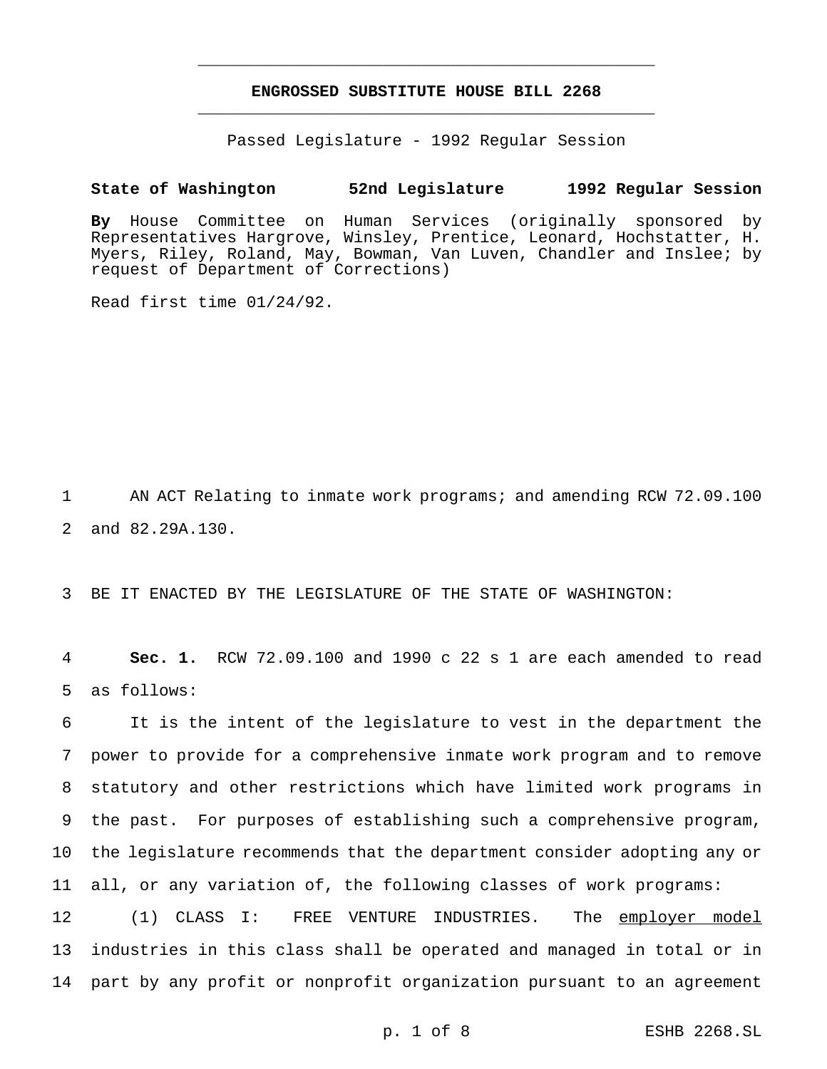# **ENGROSSED SUBSTITUTE HOUSE BILL 2268** \_\_\_\_\_\_\_\_\_\_\_\_\_\_\_\_\_\_\_\_\_\_\_\_\_\_\_\_\_\_\_\_\_\_\_\_\_\_\_\_\_\_\_\_\_\_\_

\_\_\_\_\_\_\_\_\_\_\_\_\_\_\_\_\_\_\_\_\_\_\_\_\_\_\_\_\_\_\_\_\_\_\_\_\_\_\_\_\_\_\_\_\_\_\_

Passed Legislature - 1992 Regular Session

## **State of Washington 52nd Legislature 1992 Regular Session**

**By** House Committee on Human Services (originally sponsored by Representatives Hargrove, Winsley, Prentice, Leonard, Hochstatter, H. Myers, Riley, Roland, May, Bowman, Van Luven, Chandler and Inslee; by request of Department of Corrections)

Read first time 01/24/92.

1 AN ACT Relating to inmate work programs; and amending RCW 72.09.100 2 and 82.29A.130.

3 BE IT ENACTED BY THE LEGISLATURE OF THE STATE OF WASHINGTON:

4 **Sec. 1.** RCW 72.09.100 and 1990 c 22 s 1 are each amended to read 5 as follows:

 It is the intent of the legislature to vest in the department the power to provide for a comprehensive inmate work program and to remove statutory and other restrictions which have limited work programs in the past. For purposes of establishing such a comprehensive program, the legislature recommends that the department consider adopting any or all, or any variation of, the following classes of work programs:

12 (1) CLASS I: FREE VENTURE INDUSTRIES. The employer model 13 industries in this class shall be operated and managed in total or in 14 part by any profit or nonprofit organization pursuant to an agreement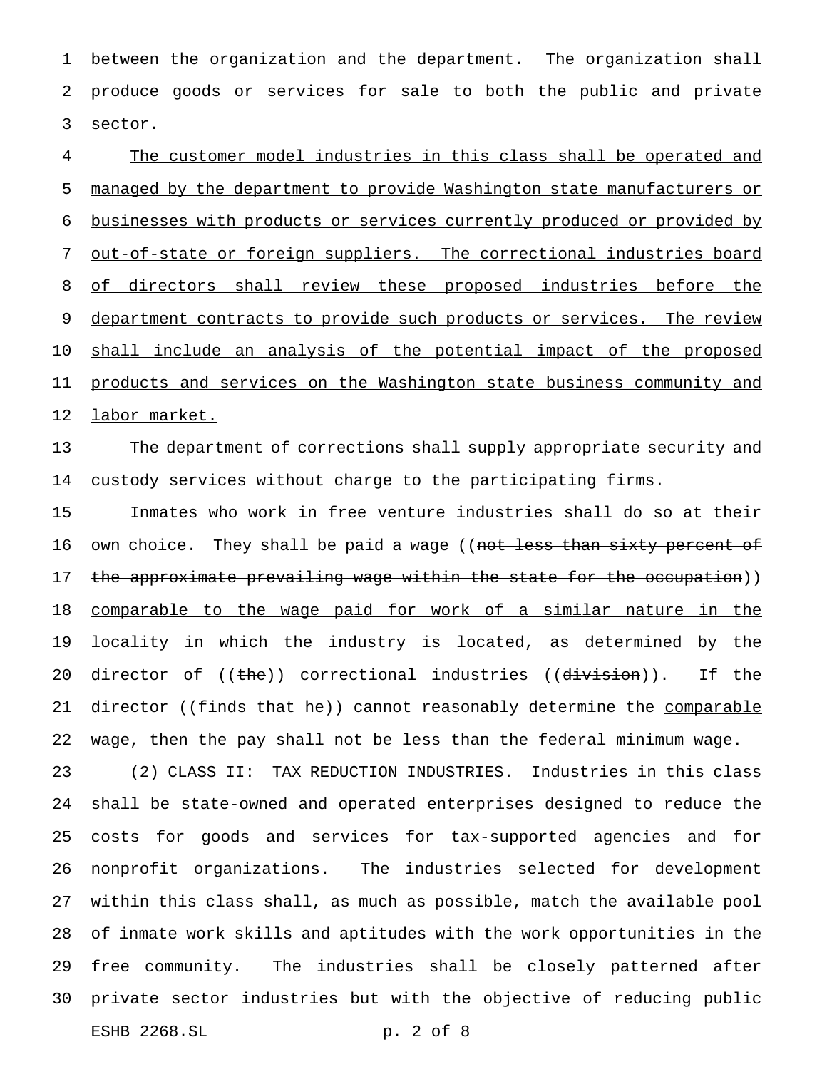between the organization and the department. The organization shall produce goods or services for sale to both the public and private sector.

 The customer model industries in this class shall be operated and managed by the department to provide Washington state manufacturers or businesses with products or services currently produced or provided by out-of-state or foreign suppliers. The correctional industries board 8 of directors shall review these proposed industries before the 9 department contracts to provide such products or services. The review shall include an analysis of the potential impact of the proposed 11 products and services on the Washington state business community and labor market.

 The department of corrections shall supply appropriate security and custody services without charge to the participating firms.

 Inmates who work in free venture industries shall do so at their 16 own choice. They shall be paid a wage ((not less than sixty percent of 17 the approximate prevailing wage within the state for the occupation)) comparable to the wage paid for work of a similar nature in the 19 <u>locality in which the industry is located</u>, as determined by the 20 director of ((the)) correctional industries ((division)). If the 21 director ((finds that he)) cannot reasonably determine the comparable wage, then the pay shall not be less than the federal minimum wage.

 (2) CLASS II: TAX REDUCTION INDUSTRIES. Industries in this class shall be state-owned and operated enterprises designed to reduce the costs for goods and services for tax-supported agencies and for nonprofit organizations. The industries selected for development within this class shall, as much as possible, match the available pool of inmate work skills and aptitudes with the work opportunities in the free community. The industries shall be closely patterned after private sector industries but with the objective of reducing public ESHB 2268.SL p. 2 of 8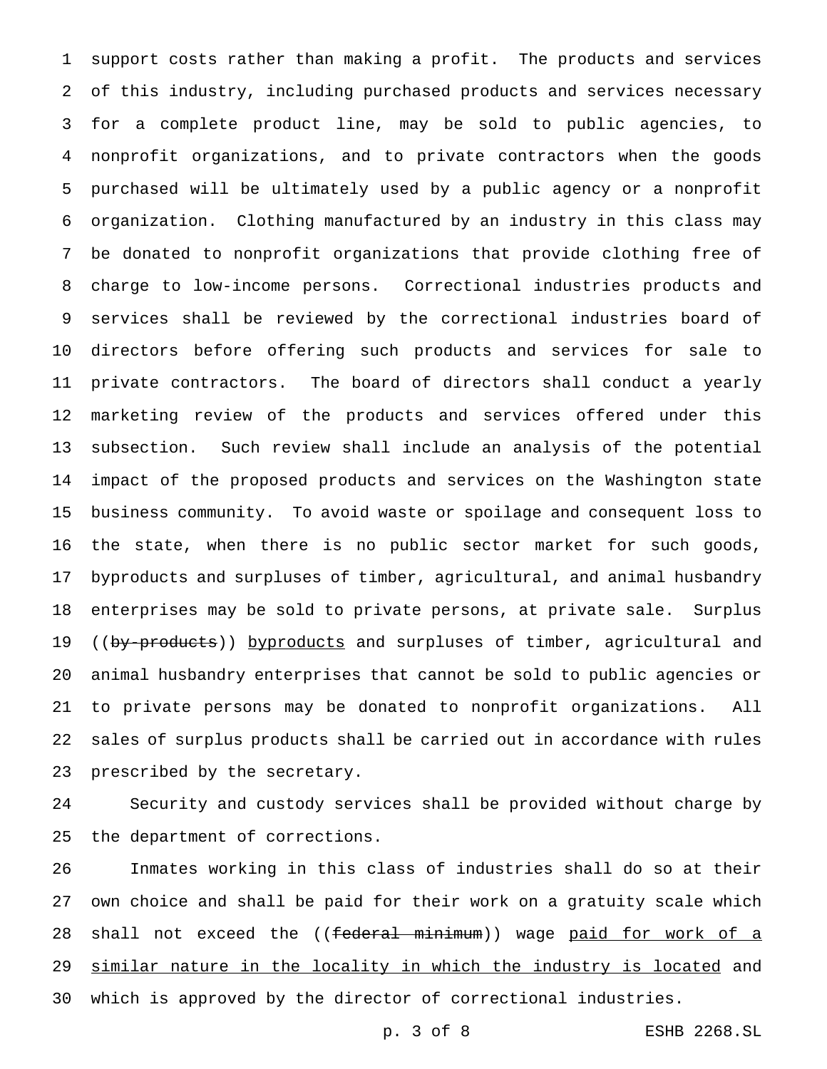support costs rather than making a profit. The products and services of this industry, including purchased products and services necessary for a complete product line, may be sold to public agencies, to nonprofit organizations, and to private contractors when the goods purchased will be ultimately used by a public agency or a nonprofit organization. Clothing manufactured by an industry in this class may be donated to nonprofit organizations that provide clothing free of charge to low-income persons. Correctional industries products and services shall be reviewed by the correctional industries board of directors before offering such products and services for sale to private contractors. The board of directors shall conduct a yearly marketing review of the products and services offered under this subsection. Such review shall include an analysis of the potential impact of the proposed products and services on the Washington state business community. To avoid waste or spoilage and consequent loss to the state, when there is no public sector market for such goods, byproducts and surpluses of timber, agricultural, and animal husbandry enterprises may be sold to private persons, at private sale. Surplus 19 ((by-products)) byproducts and surpluses of timber, agricultural and animal husbandry enterprises that cannot be sold to public agencies or to private persons may be donated to nonprofit organizations. All sales of surplus products shall be carried out in accordance with rules prescribed by the secretary.

 Security and custody services shall be provided without charge by the department of corrections.

 Inmates working in this class of industries shall do so at their own choice and shall be paid for their work on a gratuity scale which 28 shall not exceed the ((federal minimum)) wage paid for work of a similar nature in the locality in which the industry is located and which is approved by the director of correctional industries.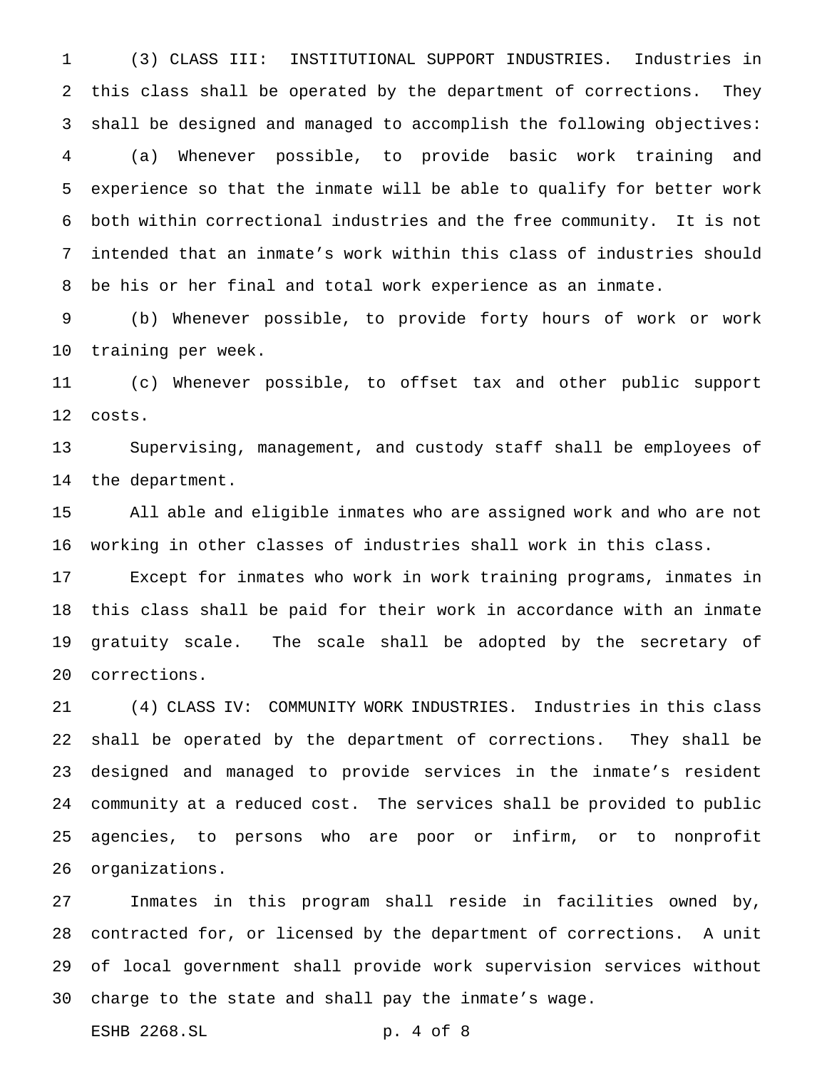(3) CLASS III: INSTITUTIONAL SUPPORT INDUSTRIES. Industries in this class shall be operated by the department of corrections. They shall be designed and managed to accomplish the following objectives: (a) Whenever possible, to provide basic work training and experience so that the inmate will be able to qualify for better work both within correctional industries and the free community. It is not intended that an inmate's work within this class of industries should be his or her final and total work experience as an inmate.

 (b) Whenever possible, to provide forty hours of work or work training per week.

 (c) Whenever possible, to offset tax and other public support costs.

 Supervising, management, and custody staff shall be employees of the department.

 All able and eligible inmates who are assigned work and who are not working in other classes of industries shall work in this class.

 Except for inmates who work in work training programs, inmates in this class shall be paid for their work in accordance with an inmate gratuity scale. The scale shall be adopted by the secretary of corrections.

 (4) CLASS IV: COMMUNITY WORK INDUSTRIES. Industries in this class shall be operated by the department of corrections. They shall be designed and managed to provide services in the inmate's resident community at a reduced cost. The services shall be provided to public agencies, to persons who are poor or infirm, or to nonprofit organizations.

 Inmates in this program shall reside in facilities owned by, contracted for, or licensed by the department of corrections. A unit of local government shall provide work supervision services without charge to the state and shall pay the inmate's wage.

ESHB 2268.SL p. 4 of 8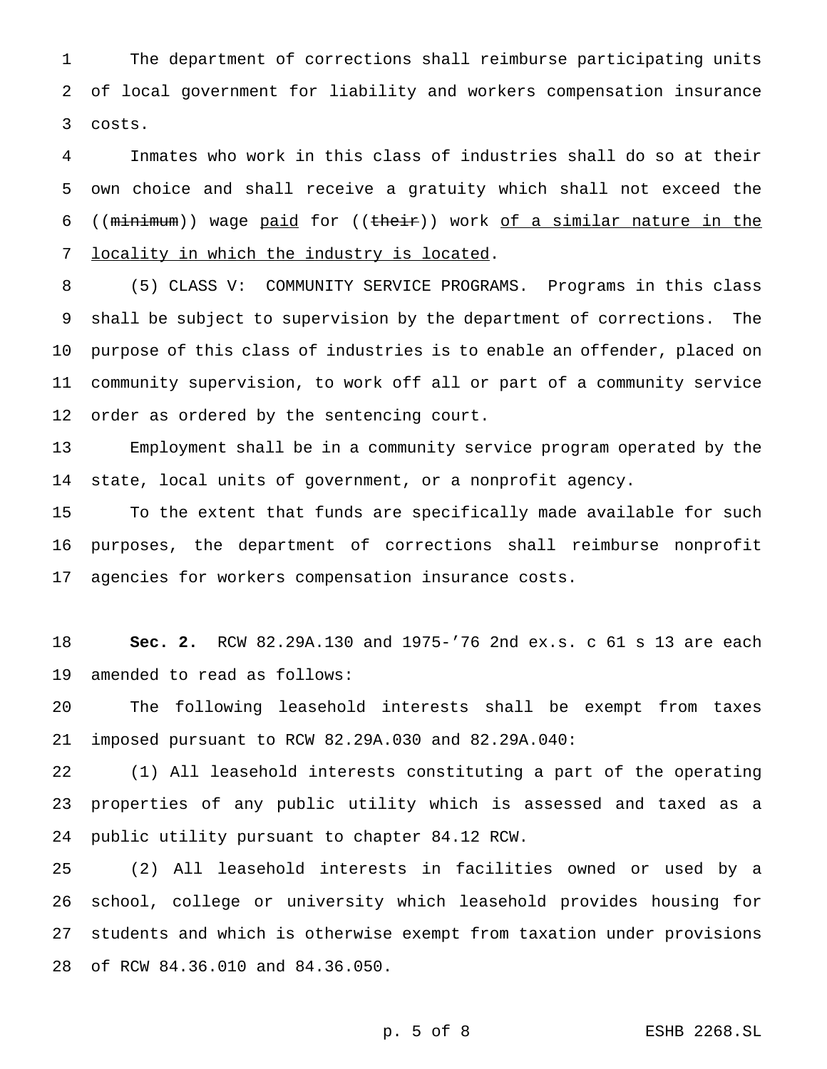The department of corrections shall reimburse participating units of local government for liability and workers compensation insurance costs.

 Inmates who work in this class of industries shall do so at their own choice and shall receive a gratuity which shall not exceed the ((minimum)) wage paid for ((their)) work of a similar nature in the locality in which the industry is located.

 (5) CLASS V: COMMUNITY SERVICE PROGRAMS. Programs in this class shall be subject to supervision by the department of corrections. The purpose of this class of industries is to enable an offender, placed on community supervision, to work off all or part of a community service order as ordered by the sentencing court.

 Employment shall be in a community service program operated by the state, local units of government, or a nonprofit agency.

 To the extent that funds are specifically made available for such purposes, the department of corrections shall reimburse nonprofit agencies for workers compensation insurance costs.

 **Sec. 2.** RCW 82.29A.130 and 1975-'76 2nd ex.s. c 61 s 13 are each amended to read as follows:

 The following leasehold interests shall be exempt from taxes imposed pursuant to RCW 82.29A.030 and 82.29A.040:

 (1) All leasehold interests constituting a part of the operating properties of any public utility which is assessed and taxed as a public utility pursuant to chapter 84.12 RCW.

 (2) All leasehold interests in facilities owned or used by a school, college or university which leasehold provides housing for students and which is otherwise exempt from taxation under provisions of RCW 84.36.010 and 84.36.050.

p. 5 of 8 ESHB 2268.SL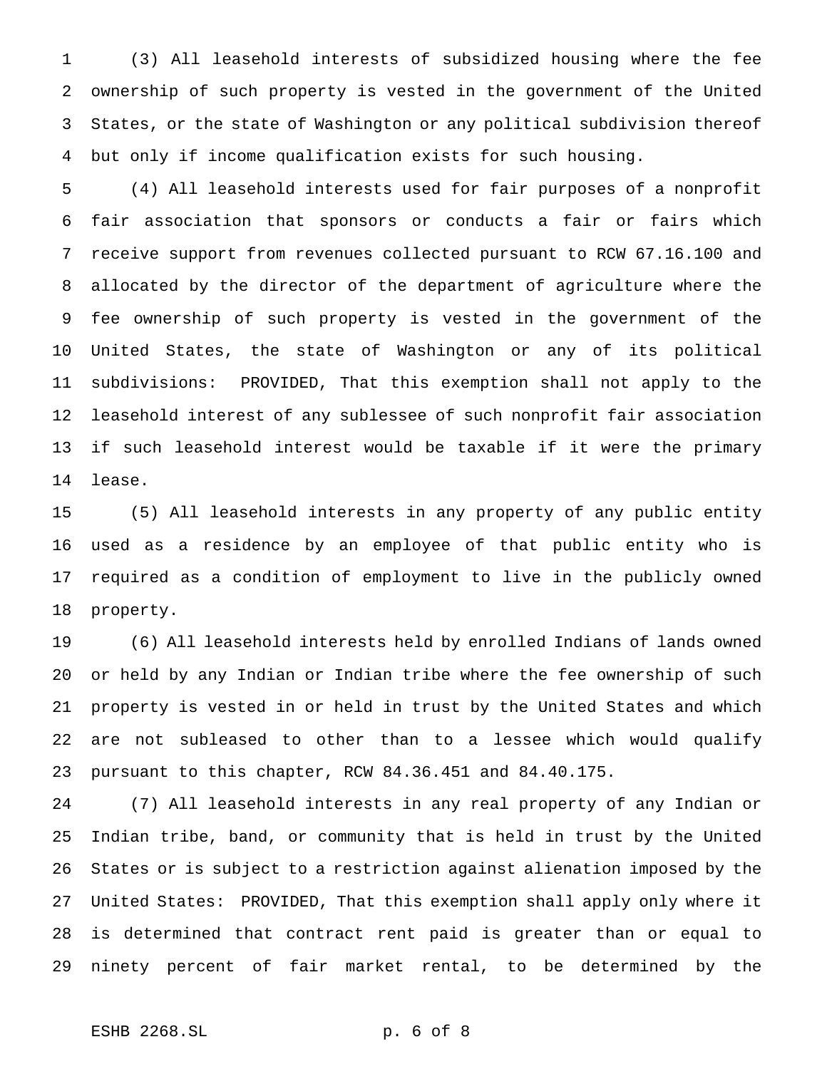(3) All leasehold interests of subsidized housing where the fee ownership of such property is vested in the government of the United States, or the state of Washington or any political subdivision thereof but only if income qualification exists for such housing.

 (4) All leasehold interests used for fair purposes of a nonprofit fair association that sponsors or conducts a fair or fairs which receive support from revenues collected pursuant to RCW 67.16.100 and allocated by the director of the department of agriculture where the fee ownership of such property is vested in the government of the United States, the state of Washington or any of its political subdivisions: PROVIDED, That this exemption shall not apply to the leasehold interest of any sublessee of such nonprofit fair association if such leasehold interest would be taxable if it were the primary lease.

 (5) All leasehold interests in any property of any public entity used as a residence by an employee of that public entity who is required as a condition of employment to live in the publicly owned property.

 (6) All leasehold interests held by enrolled Indians of lands owned or held by any Indian or Indian tribe where the fee ownership of such property is vested in or held in trust by the United States and which are not subleased to other than to a lessee which would qualify pursuant to this chapter, RCW 84.36.451 and 84.40.175.

 (7) All leasehold interests in any real property of any Indian or Indian tribe, band, or community that is held in trust by the United States or is subject to a restriction against alienation imposed by the United States: PROVIDED, That this exemption shall apply only where it is determined that contract rent paid is greater than or equal to ninety percent of fair market rental, to be determined by the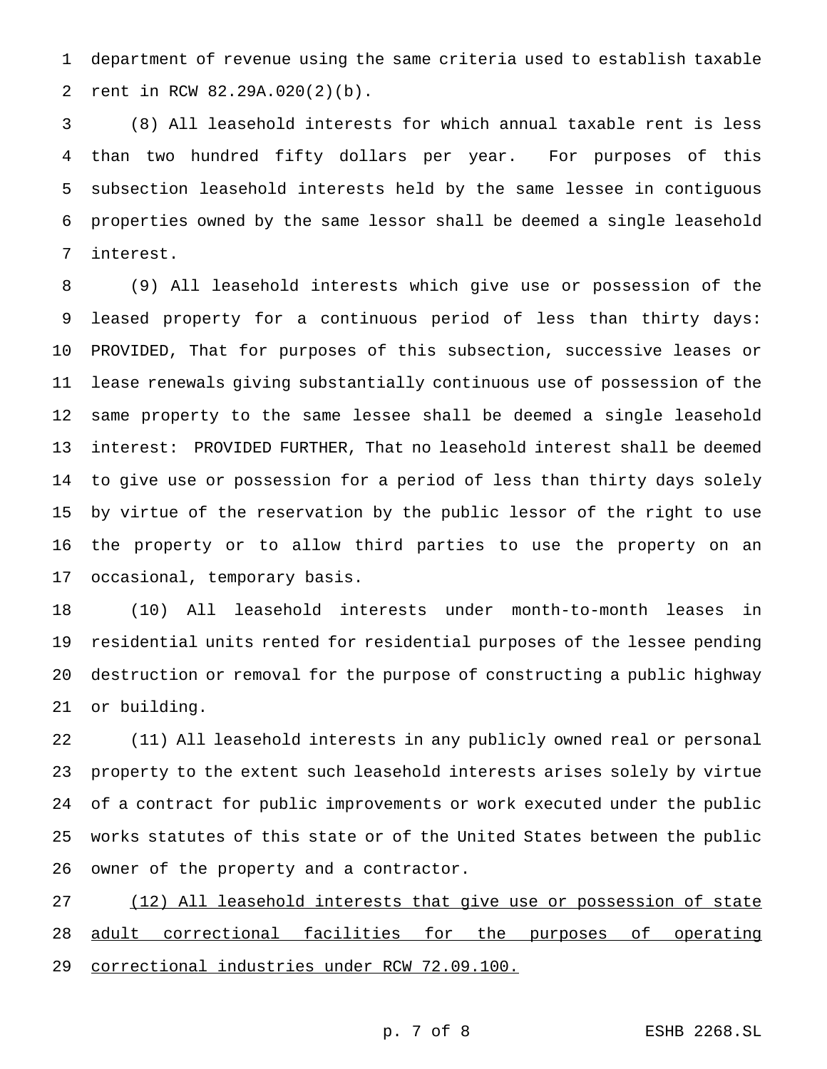department of revenue using the same criteria used to establish taxable rent in RCW 82.29A.020(2)(b).

 (8) All leasehold interests for which annual taxable rent is less than two hundred fifty dollars per year. For purposes of this subsection leasehold interests held by the same lessee in contiguous properties owned by the same lessor shall be deemed a single leasehold interest.

 (9) All leasehold interests which give use or possession of the leased property for a continuous period of less than thirty days: PROVIDED, That for purposes of this subsection, successive leases or lease renewals giving substantially continuous use of possession of the same property to the same lessee shall be deemed a single leasehold interest: PROVIDED FURTHER, That no leasehold interest shall be deemed to give use or possession for a period of less than thirty days solely by virtue of the reservation by the public lessor of the right to use the property or to allow third parties to use the property on an occasional, temporary basis.

 (10) All leasehold interests under month-to-month leases in residential units rented for residential purposes of the lessee pending destruction or removal for the purpose of constructing a public highway or building.

 (11) All leasehold interests in any publicly owned real or personal property to the extent such leasehold interests arises solely by virtue of a contract for public improvements or work executed under the public works statutes of this state or of the United States between the public owner of the property and a contractor.

27 (12) All leasehold interests that give use or possession of state 28 adult correctional facilities for the purposes of operating correctional industries under RCW 72.09.100.